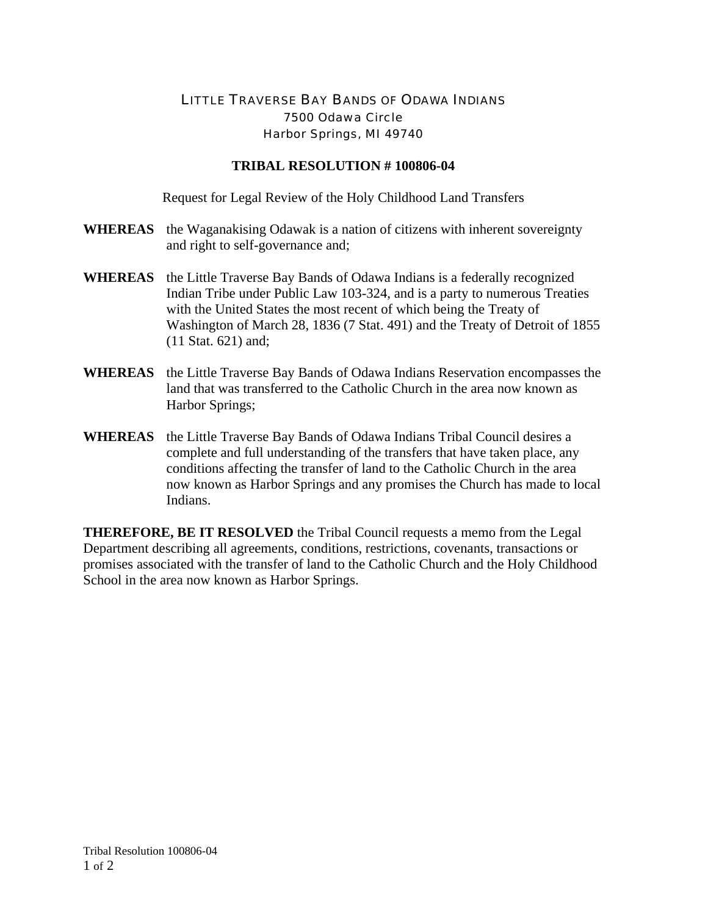## LITTLE TRAVERSE BAY BANDS OF ODAWA INDIANS 7500 Odawa Circle Harbor Springs, MI 49740

## **TRIBAL RESOLUTION # 100806-04**

Request for Legal Review of the Holy Childhood Land Transfers

- **WHEREAS** the Waganakising Odawak is a nation of citizens with inherent sovereignty and right to self-governance and;
- **WHEREAS** the Little Traverse Bay Bands of Odawa Indians is a federally recognized Indian Tribe under Public Law 103-324, and is a party to numerous Treaties with the United States the most recent of which being the Treaty of Washington of March 28, 1836 (7 Stat. 491) and the Treaty of Detroit of 1855 (11 Stat. 621) and;
- **WHEREAS** the Little Traverse Bay Bands of Odawa Indians Reservation encompasses the land that was transferred to the Catholic Church in the area now known as Harbor Springs;
- **WHEREAS** the Little Traverse Bay Bands of Odawa Indians Tribal Council desires a complete and full understanding of the transfers that have taken place, any conditions affecting the transfer of land to the Catholic Church in the area now known as Harbor Springs and any promises the Church has made to local Indians.

**THEREFORE, BE IT RESOLVED** the Tribal Council requests a memo from the Legal Department describing all agreements, conditions, restrictions, covenants, transactions or promises associated with the transfer of land to the Catholic Church and the Holy Childhood School in the area now known as Harbor Springs.